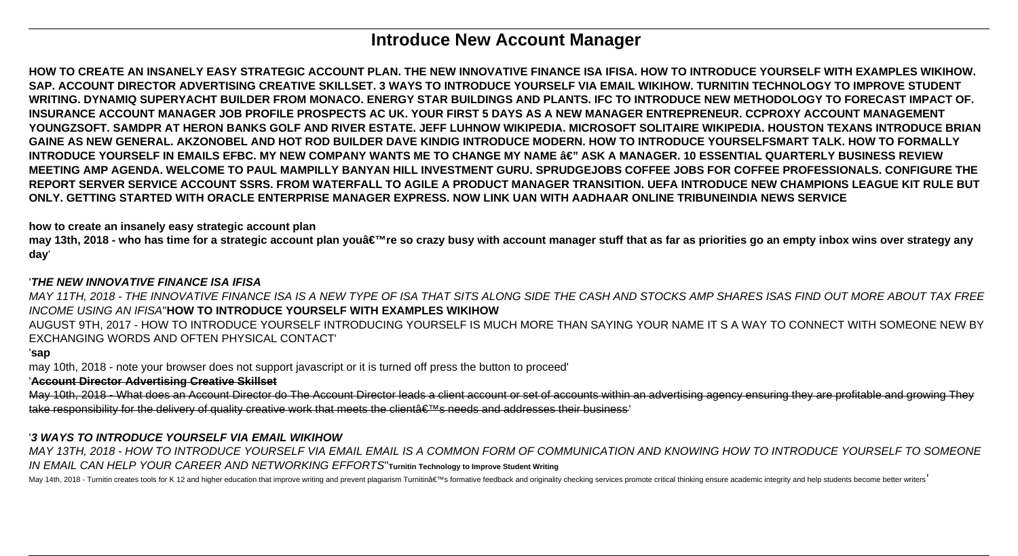# **Introduce New Account Manager**

**HOW TO CREATE AN INSANELY EASY STRATEGIC ACCOUNT PLAN. THE NEW INNOVATIVE FINANCE ISA IFISA. HOW TO INTRODUCE YOURSELF WITH EXAMPLES WIKIHOW. SAP. ACCOUNT DIRECTOR ADVERTISING CREATIVE SKILLSET. 3 WAYS TO INTRODUCE YOURSELF VIA EMAIL WIKIHOW. TURNITIN TECHNOLOGY TO IMPROVE STUDENT WRITING. DYNAMIQ SUPERYACHT BUILDER FROM MONACO. ENERGY STAR BUILDINGS AND PLANTS. IFC TO INTRODUCE NEW METHODOLOGY TO FORECAST IMPACT OF. INSURANCE ACCOUNT MANAGER JOB PROFILE PROSPECTS AC UK. YOUR FIRST 5 DAYS AS A NEW MANAGER ENTREPRENEUR. CCPROXY ACCOUNT MANAGEMENT YOUNGZSOFT. SAMDPR AT HERON BANKS GOLF AND RIVER ESTATE. JEFF LUHNOW WIKIPEDIA. MICROSOFT SOLITAIRE WIKIPEDIA. HOUSTON TEXANS INTRODUCE BRIAN GAINE AS NEW GENERAL. AKZONOBEL AND HOT ROD BUILDER DAVE KINDIG INTRODUCE MODERN. HOW TO INTRODUCE YOURSELFSMART TALK. HOW TO FORMALLY INTRODUCE YOURSELF IN EMAILS EFBC. MY NEW COMPANY WANTS ME TO CHANGE MY NAME â€" ASK A MANAGER. 10 ESSENTIAL QUARTERLY BUSINESS REVIEW MEETING AMP AGENDA. WELCOME TO PAUL MAMPILLY BANYAN HILL INVESTMENT GURU. SPRUDGEJOBS COFFEE JOBS FOR COFFEE PROFESSIONALS. CONFIGURE THE REPORT SERVER SERVICE ACCOUNT SSRS. FROM WATERFALL TO AGILE A PRODUCT MANAGER TRANSITION. UEFA INTRODUCE NEW CHAMPIONS LEAGUE KIT RULE BUT ONLY. GETTING STARTED WITH ORACLE ENTERPRISE MANAGER EXPRESS. NOW LINK UAN WITH AADHAAR ONLINE TRIBUNEINDIA NEWS SERVICE**

**how to create an insanely easy strategic account plan**

may 13th, 2018 - who has time for a strategic account plan you're so crazy busy with account manager stuff that as far as priorities go an empty inbox wins over strategy any **day**'

# '**THE NEW INNOVATIVE FINANCE ISA IFISA**

MAY 11TH, 2018 - THE INNOVATIVE FINANCE ISA IS A NEW TYPE OF ISA THAT SITS ALONG SIDE THE CASH AND STOCKS AMP SHARES ISAS FIND OUT MORE ABOUT TAX FREE INCOME USING AN IFISA''**HOW TO INTRODUCE YOURSELF WITH EXAMPLES WIKIHOW**

AUGUST 9TH, 2017 - HOW TO INTRODUCE YOURSELF INTRODUCING YOURSELF IS MUCH MORE THAN SAYING YOUR NAME IT S A WAY TO CONNECT WITH SOMEONE NEW BY EXCHANGING WORDS AND OFTEN PHYSICAL CONTACT'

#### '**sap**

may 10th, 2018 - note your browser does not support javascript or it is turned off press the button to proceed'

'**Account Director Advertising Creative Skillset**

May 10th, 2018 - What does an Account Director do The Account Director leads a client account or set of accounts within an advertising agency ensuring they are profitable and growing They take responsibility for the delivery of quality creative work that meets the client's needs and addresses their business'

# '**3 WAYS TO INTRODUCE YOURSELF VIA EMAIL WIKIHOW**

MAY 13TH, 2018 - HOW TO INTRODUCE YOURSELF VIA EMAIL EMAIL IS A COMMON FORM OF COMMUNICATION AND KNOWING HOW TO INTRODUCE YOURSELF TO SOMEONE IN EMAIL CAN HELP YOUR CAREER AND NETWORKING EFFORTS''**Turnitin Technology to Improve Student Writing**

May 14th, 2018 - Turnitin creates tools for K 12 and higher education that improve writing and prevent plagiarism Turnitina€ ™s formative feedback and originality checking services promote critical thinking ensure academi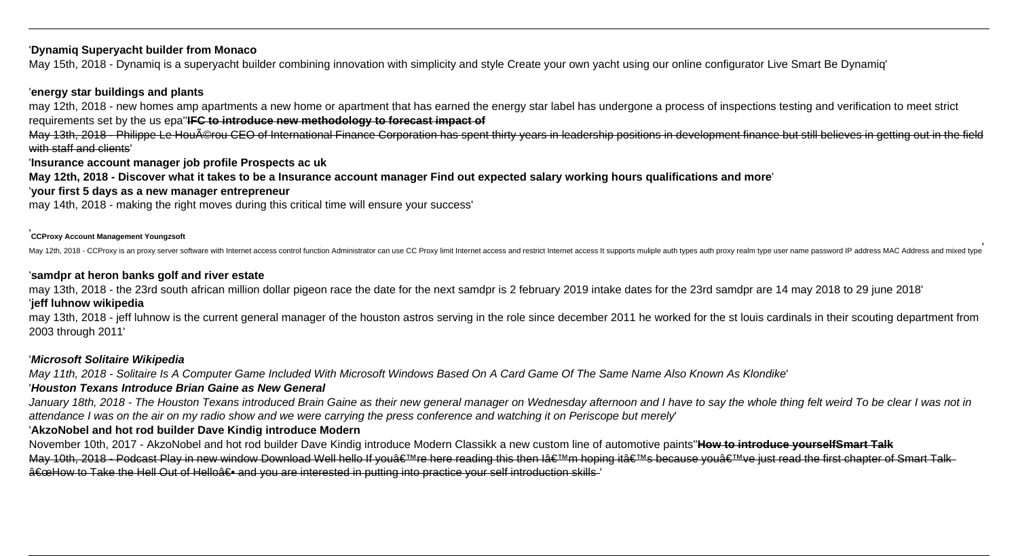## '**Dynamiq Superyacht builder from Monaco**

May 15th, 2018 - Dynamiq is a superyacht builder combining innovation with simplicity and style Create your own yacht using our online configurator Live Smart Be Dynamiq'

# '**energy star buildings and plants**

may 12th, 2018 - new homes amp apartments a new home or apartment that has earned the energy star label has undergone a process of inspections testing and verification to meet strict requirements set by the us epa''**IFC to introduce new methodology to forecast impact of**

May 13th, 2018 - Philippe Le Houérou CEO of International Finance Corporation has spent thirty years in leadership positions in development finance but still believes in getting out in the field with staff and clients'

'**Insurance account manager job profile Prospects ac uk**

**May 12th, 2018 - Discover what it takes to be a Insurance account manager Find out expected salary working hours qualifications and more**'

'**your first 5 days as a new manager entrepreneur**

may 14th, 2018 - making the right moves during this critical time will ensure your success'

## '**CCProxy Account Management Youngzsoft**

May 12th, 2018 - CCProxy is an proxy server software with Internet access control function Administrator can use CC Proxy limit Internet access and restrict Internet access It supports muliple auth types auth proxy realm t

#### '**samdpr at heron banks golf and river estate**

may 13th, 2018 - the 23rd south african million dollar pigeon race the date for the next samdpr is 2 february 2019 intake dates for the 23rd samdpr are 14 may 2018 to 29 june 2018'

# '**jeff luhnow wikipedia**

may 13th, 2018 - jeff luhnow is the current general manager of the houston astros serving in the role since december 2011 he worked for the st louis cardinals in their scouting department from 2003 through 2011'

# '**Microsoft Solitaire Wikipedia**

May 11th, 2018 - Solitaire Is A Computer Game Included With Microsoft Windows Based On A Card Game Of The Same Name Also Known As Klondike'

# '**Houston Texans Introduce Brian Gaine as New General**

January 18th, 2018 - The Houston Texans introduced Brain Gaine as their new general manager on Wednesday afternoon and I have to say the whole thing felt weird To be clear I was not in attendance I was on the air on my radio show and we were carrying the press conference and watching it on Periscope but merely'

# '**AkzoNobel and hot rod builder Dave Kindig introduce Modern**

November 10th, 2017 - AkzoNobel and hot rod builder Dave Kindig introduce Modern Classikk a new custom line of automotive paints''**How to introduce yourselfSmart Talk** May 10th, 2018 - Podcast Play in new window Download Well hello If you're here reading this then I'm hoping it's because you've just read the first chapter of Smart Talk  $\hat{a} \in \infty$ How to Take the Hell Out of Hello $\hat{a} \in \cdot$  and you are interested in putting into practice your self introduction skills'